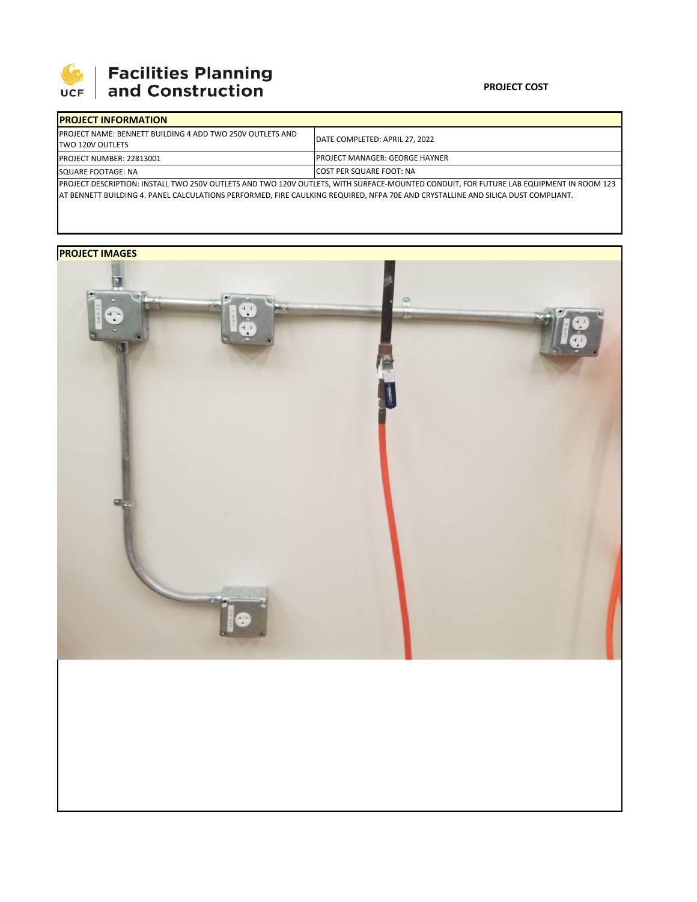

## **SEPTE AND Facilities Planning**<br>UCF and Construction

## **PROJECT COST**

| <b>IPROJECT INFORMATION</b>                                                                                                            |                                        |  |  |  |
|----------------------------------------------------------------------------------------------------------------------------------------|----------------------------------------|--|--|--|
| <b>IPROJECT NAME: BENNETT BUILDING 4 ADD TWO 250V OUTLETS AND</b><br>TWO 120V OUTLETS                                                  | DATE COMPLETED: APRIL 27, 2022         |  |  |  |
| <b>PROJECT NUMBER: 22813001</b>                                                                                                        | <b>IPROJECT MANAGER: GEORGE HAYNER</b> |  |  |  |
| SQUARE FOOTAGE: NA                                                                                                                     | <b>COST PER SQUARE FOOT: NA</b>        |  |  |  |
| PROJECT DESCRIPTION: INSTALL TWO 250V OUTLETS AND TWO 120V OUTLETS, WITH SURFACE-MOUNTED CONDUIT, FOR FUTURE LAB EQUIPMENT IN ROOM 123 |                                        |  |  |  |
| AT BENNETT BUILDING 4. PANEL CALCULATIONS PERFORMED, FIRE CAULKING REQUIRED, NFPA 70E AND CRYSTALLINE AND SILICA DUST COMPLIANT.       |                                        |  |  |  |

**PROJECT IMAGES**